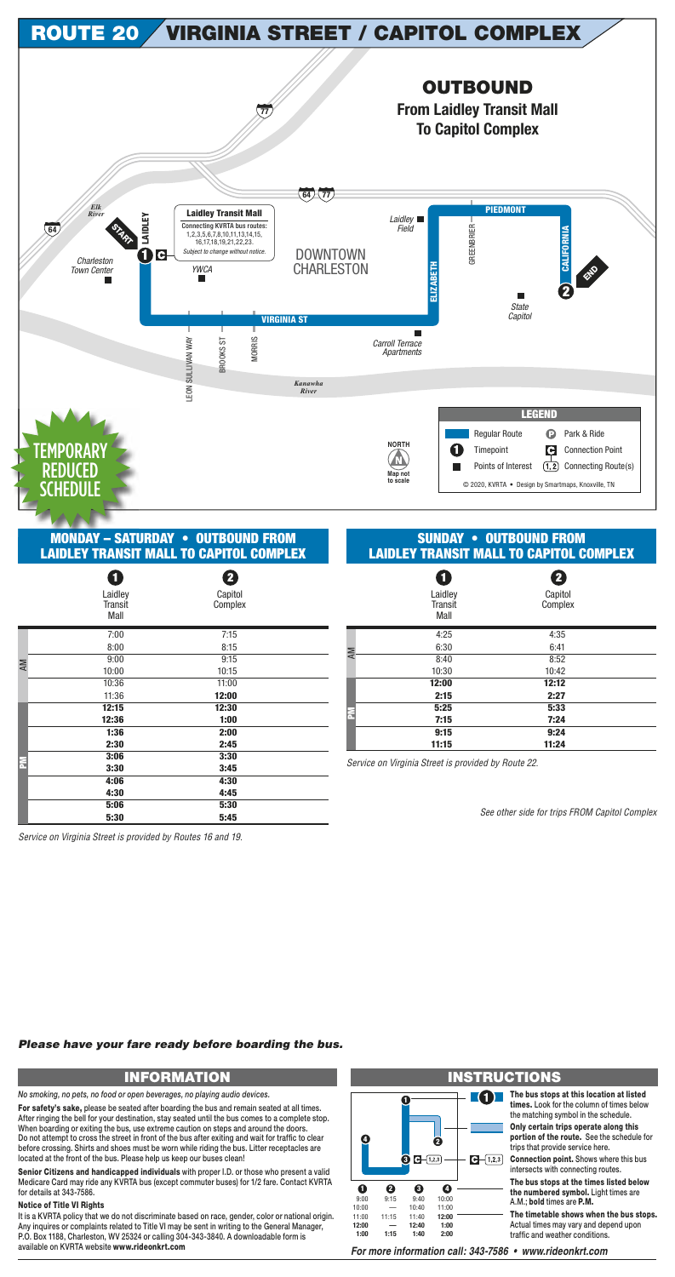### MONDAY – SATURDAY • OUTBOUND FROM **LAIDLEY TRANSIT MALL TO CAPITOL COMPLEX**

## SUNDAY • OUTBOUND FROM **LAIDLEY TRANSIT MALL TO CAPITOL COMPLEX**

|           | 0                                 | 2                  |  |
|-----------|-----------------------------------|--------------------|--|
|           | Laidley<br><b>Transit</b><br>Mall | Capitol<br>Complex |  |
|           | 7:00                              | 7:15               |  |
|           | 8:00                              | 8:15               |  |
| <b>AM</b> | 9:00                              | 9:15               |  |
|           | 10:00                             | 10:15              |  |
|           | 10:36                             | 11:00              |  |
|           | 11:36                             | 12:00              |  |
|           | 12:15                             | 12:30              |  |
|           | 12:36                             | 1:00               |  |
|           | 1:36                              | 2:00               |  |
|           | 2:30                              | 2:45               |  |
| E         | 3:06                              | 3:30               |  |
|           | 3:30                              | 3:45               |  |
|           | 4:06                              | 4:30               |  |
|           | 4:30                              | 4:45               |  |
|           | 5:06                              | 5:30               |  |
|           | 5:30                              | 5:45               |  |

|    | 1<br>Laidley<br><b>Transit</b><br>Mall | $\mathbf{2}$<br>Capitol<br>Complex |  |
|----|----------------------------------------|------------------------------------|--|
|    | 4:25                                   | 4:35                               |  |
| AM | 6:30                                   | 6:41                               |  |
|    | 8:40                                   | 8:52                               |  |
|    | 10:30                                  | 10:42                              |  |
|    | 12:00                                  | 12:12                              |  |
|    | 2:15                                   | 2:27                               |  |
|    | 5:25                                   | 5:33                               |  |
| 론  | 7:15                                   | 7:24                               |  |
|    | 9:15                                   | 9:24                               |  |
|    | 11:15                                  | 11:24                              |  |

See other side for trips FROM Capitol Complex

**1** The bus stops at this location at listed **times.** Look for the column of times below the matching symbol in the schedule.



Service on Virginia Street is provided by Routes 16 and 19.

Service on Virginia Street is provided by Route 22.

# **INFORMATION INSTRUCTIONS**

It is a KVRTA policy that we do not discriminate based on race, gender, color or national origin. Any inquires or complaints related to Title VI may be sent in writing to the General Manager, P.O. Box 1188, Charleston, WV 25324 or calling 304-343-3840. A downloadable form is available on KVRTA website www.rideonkrt.com

**Only certain trips operate along this portion of the route.** See the schedule for trips that provide service here.

**Connection point.** Shows where this bus intersects with connecting routes.

**The bus stops at the times listed below the numbered symbol.** Light times are A.M.; **bold** times are **P.M.**

**The timetable shows when the bus stops.** Actual times may vary and depend upon traffic and weather conditions.

For more information call: 343-7586 · www.rideonkrt.com

#### **1 4 2**  $\bullet$   $\bullet$   $(1,2,3)$  $\bigodot - (1,2,3)$ **1 2 3 4** 9:00 9:15 9:40 10:00 10:00 — 10:40 11:00 11:00 11:15 11:40 **12:00 12:00 12:40 — 1:00 1:15 2:00 1:00 1:40**

*No smoking, no pets, no food or open beverages, no playing audio devices.*

**For safety's sake,** please be seated after boarding the bus and remain seated at all times. After ringing the bell for your destination, stay seated until the bus comes to a complete stop. When boarding or exiting the bus, use extreme caution on steps and around the doors. Do not attempt to cross the street in front of the bus after exiting and wait for traffic to clear before crossing. Shirts and shoes must be worn while riding the bus. Litter receptacles are located at the front of the bus. Please help us keep our buses clean!

**Senior Citizens and handicapped individuals** with proper I.D. or those who present a valid Medicare Card may ride any KVRTA bus (except commuter buses) for 1/2 fare. Contact KVRTA for details at 343-7586.

#### **Notice of Title VI Rights**

#### *Please have your fare ready before boarding the bus.*